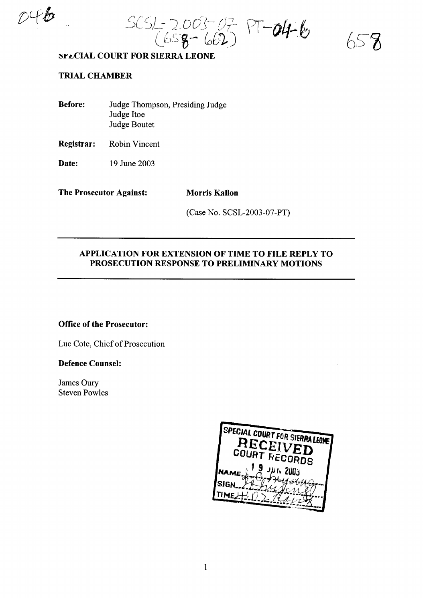~[ *c'L'*.-. *'J.* <sup>0</sup> cr\~ (;-.' *.-r*- **f"** -*.t. .J,* L-- .\_.~ <sup>I</sup> \ <sup>I</sup> **011....** t:/ <sup>l</sup> tJ's~~ - *Cob}.,) ,*

## ~r~CIAL **COURT FOR SIERRA LEONE**

# **TRIAL CHAMBER**

**Before:** Judge Thompson, Presiding Judge Judge Itoe Judge Boutet

**Registrar:** Robin Vincent

**Date:** 19 June 2003

**The Prosecutor Against: Morris Kallon**

(Case No. SCSL-2003-07-PT)

## **APPLICATION FOR EXTENSION OF TIME TO FILE REPLY TO PROSECUTION RESPONSE TO PRELIMINARY MOTIONS**

## **Office of the Prosecutor:**

Luc Cote, Chief of Prosecution

#### **Defence Counsel:**

James Oury Steven Powles

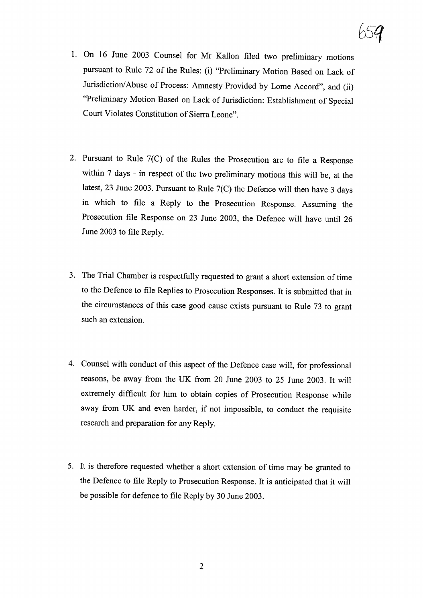- 1. On 16 June 2003 Counsel for Mr Kallon filed two preliminary motions pursuant to Rule 72 of the Rules: (i) "Preliminary Motion Based on Lack of Jurisdiction/Abuse of Process: Amnesty Provided by Lome Accord", and (ii) "Preliminary Motion Based on Lack of Jurisdiction: Establishment of Special Court Violates Constitution of Sierra Leone".
- 2. Pursuant to Rule 7(C) of the Rules the Prosecution are to file a Response within 7 days - in respect of the two preliminary motions this will be, at the latest, 23 June 2003. Pursuant to Rule 7(C) the Defence will then have 3 days in which to file a Reply to the Prosecution Response. Assuming the Prosecution file Response on 23 June 2003, the Defence will have until 26 June 2003 to file Reply.
- 3. The Trial Chamber is respectfully requested to grant a short extension of time to the Defence to file Replies to Prosecution Responses. It is submitted that in the circumstances of this case good cause exists pursuant to Rule 73 to grant such an extension.
- 4. Counsel with conduct of this aspect of the Defence case will, for professional reasons, be away from the UK from 20 June 2003 to 25 June 2003. It will extremely difficult for him to obtain copies of Prosecution Response while away from UK and even harder, if not impossible, to conduct the requisite research and preparation for any Reply.
- 5. It is therefore requested whether a short extension of time may be granted to the Defence to file Reply to Prosecution Response. It is anticipated that it will be possible for defence to file Reply by 30 June 2003.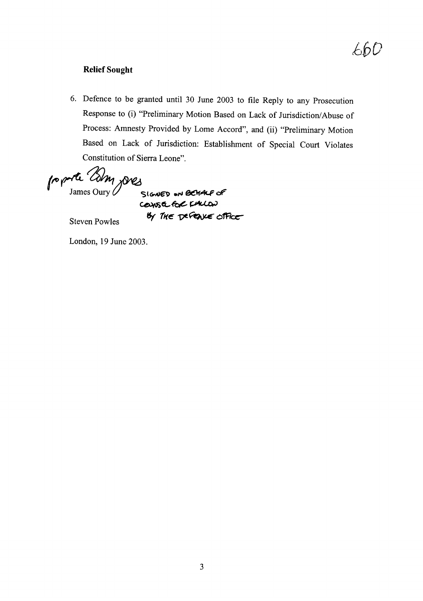# 660

## **Relief Sought**

6. Defence to be granted until 30 June 2003 to file Reply to any Prosecution Response to (i) "Preliminary Motion Based on Lack of Jurisdiction/Abuse of Process: Amnesty Provided by Lome Accord", and (ii) "Preliminary Motion Based on Lack of Jurisdiction: Establishment of Special Court Violates Constitution of Sierra Leone".

proporte Com joves

course for KALON **By THE DEFENCE OFFICE** 

Steven Powles

London, 19 June 2003.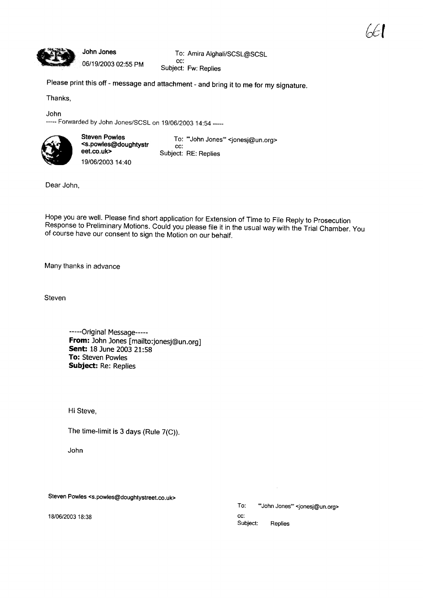

## John Jones

06/19/2003 02:55 PM

To: Amira Aighali/SCSL@SCSL cc: Subject: Fw: Replies

Please print this off - message and attachment - and bring it to me for my signature.

Thanks,

John

----- Forwarded by John Jones/SCSL on 19/06/2003 14:54 -----



Steven Powles <s.powles@doughtystr eet.co.uk> 19/06/2003 14:40

To: "'John Jones'" <jonesj@un.org> cc: Subject: RE: Replies

Dear John,

Hope you are well. Please find short application for Extension of Time to File Reply to Prosecution Response to Preliminary Motions. Could you please file it in the usual way with the Trial Chamber. You of course have our consent to sign the Motion on our behalf.

Many thanks in advance

**Steven** 

-----Original Message----- **From:** John Jones [mailto:jonesj@un,org] **Sent:** 18 June 2003 21:58 **To:** Steven Powles **Subject:** Re: Replies

Hi Steve,

The time-limit is 3 days (Rule 7(C)).

John

Steven Powles <s.powles@doughtystreet.co.uk>

18/06/200318:38

Replies To: "'John Jones'" <jonesj@un.org> cc: Subject: